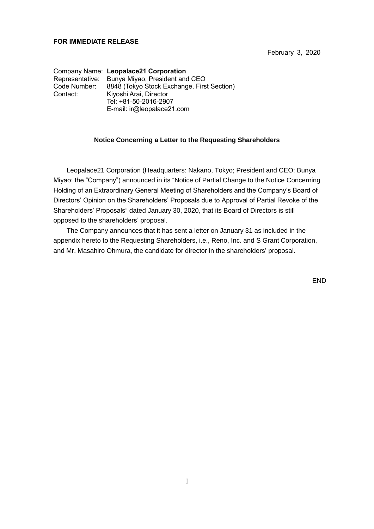## **FOR IMMEDIATE RELEASE**

February 3, 2020

Company Name: **Leopalace21 Corporation** Representative: Bunya Miyao, President and CEO Code Number: 8848 (Tokyo Stock Exchange, First Section)<br>Contact: Kivoshi Arai, Director Kiyoshi Arai, Director Tel: +81-50-2016-2907 E-mail: ir@leopalace21.com

## **Notice Concerning a Letter to the Requesting Shareholders**

Leopalace21 Corporation (Headquarters: Nakano, Tokyo; President and CEO: Bunya Miyao; the "Company") announced in its "Notice of Partial Change to the Notice Concerning Holding of an Extraordinary General Meeting of Shareholders and the Company's Board of Directors' Opinion on the Shareholders' Proposals due to Approval of Partial Revoke of the Shareholders' Proposals" dated January 30, 2020, that its Board of Directors is still opposed to the shareholders' proposal.

The Company announces that it has sent a letter on January 31 as included in the appendix hereto to the Requesting Shareholders, i.e., Reno, Inc. and S Grant Corporation, and Mr. Masahiro Ohmura, the candidate for director in the shareholders' proposal.

**FND**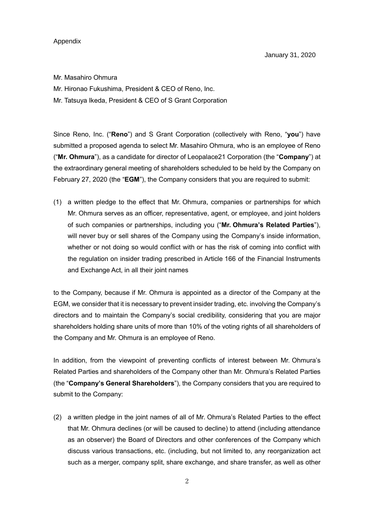Appendix

January 31, 2020

Mr. Masahiro Ohmura

Mr. Hironao Fukushima, President & CEO of Reno, Inc.

Mr. Tatsuya Ikeda, President & CEO of S Grant Corporation

Since Reno, Inc. ("**Reno**") and S Grant Corporation (collectively with Reno, "**you**") have submitted a proposed agenda to select Mr. Masahiro Ohmura, who is an employee of Reno ("**Mr. Ohmura**"), as a candidate for director of Leopalace21 Corporation (the "**Company**") at the extraordinary general meeting of shareholders scheduled to be held by the Company on February 27, 2020 (the "**EGM**"), the Company considers that you are required to submit:

(1) a written pledge to the effect that Mr. Ohmura, companies or partnerships for which Mr. Ohmura serves as an officer, representative, agent, or employee, and joint holders of such companies or partnerships, including you ("**Mr. Ohmura's Related Parties**"), will never buy or sell shares of the Company using the Company's inside information, whether or not doing so would conflict with or has the risk of coming into conflict with the regulation on insider trading prescribed in Article 166 of the Financial Instruments and Exchange Act, in all their joint names

to the Company, because if Mr. Ohmura is appointed as a director of the Company at the EGM, we consider that it is necessary to prevent insider trading, etc. involving the Company's directors and to maintain the Company's social credibility, considering that you are major shareholders holding share units of more than 10% of the voting rights of all shareholders of the Company and Mr. Ohmura is an employee of Reno.

In addition, from the viewpoint of preventing conflicts of interest between Mr. Ohmura's Related Parties and shareholders of the Company other than Mr. Ohmura's Related Parties (the "**Company's General Shareholders**"), the Company considers that you are required to submit to the Company:

(2) a written pledge in the joint names of all of Mr. Ohmura's Related Parties to the effect that Mr. Ohmura declines (or will be caused to decline) to attend (including attendance as an observer) the Board of Directors and other conferences of the Company which discuss various transactions, etc. (including, but not limited to, any reorganization act such as a merger, company split, share exchange, and share transfer, as well as other